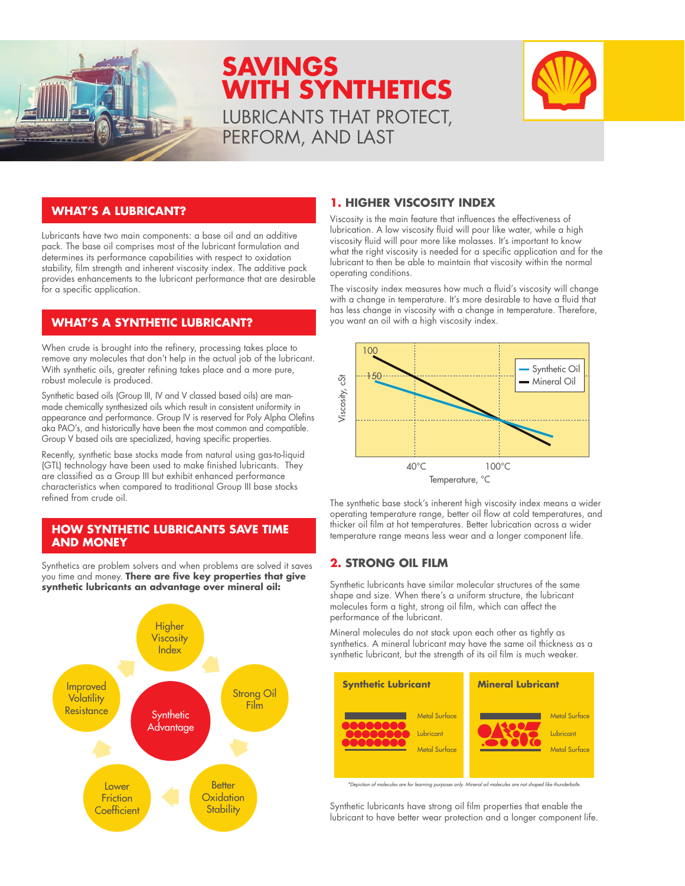

# **SAVINGS WITH SYNTHETICS** LUBRICANTS THAT PROTECT, PERFORM, AND LAST



#### **WHAT'S A LUBRICANT?**

Lubricants have two main components: a base oil and an additive pack. The base oil comprises most of the lubricant formulation and determines its performance capabilities with respect to oxidation stability, film strength and inherent viscosity index. The additive pack provides enhancements to the lubricant performance that are desirable for a specific application.

# **WHAT'S A SYNTHETIC LUBRICANT?**

When crude is brought into the refinery, processing takes place to remove any molecules that don't help in the actual job of the lubricant. With synthetic oils, greater refining takes place and a more pure, robust molecule is produced.

Synthetic based oils (Group III, IV and V classed based oils) are manmade chemically synthesized oils which result in consistent uniformity in appearance and performance. Group IV is reserved for Poly Alpha Olefins aka PAO's, and historically have been the most common and compatible. Group V based oils are specialized, having specific properties.

Recently, synthetic base stocks made from natural using gas-to-liquid (GTL) technology have been used to make finished lubricants. They are classified as a Group III but exhibit enhanced performance characteristics when compared to traditional Group III base stocks refined from crude oil.

#### **HOW SYNTHETIC LUBRICANTS SAVE TIME AND MONEY**

Synthetics are problem solvers and when problems are solved it saves you time and money. **There are five key properties that give synthetic lubricants an advantage over mineral oil:** 



### **1. HIGHER VISCOSITY INDEX**

Viscosity is the main feature that influences the effectiveness of lubrication. A low viscosity fluid will pour like water, while a high viscosity fluid will pour more like molasses. It's important to know what the right viscosity is needed for a specific application and for the lubricant to then be able to maintain that viscosity within the normal operating conditions.

The viscosity index measures how much a fluid's viscosity will change with a change in temperature. It's more desirable to have a fluid that has less change in viscosity with a change in temperature. Therefore, you want an oil with a high viscosity index.



The synthetic base stock's inherent high viscosity index means a wider operating temperature range, better oil flow at cold temperatures, and thicker oil film at hot temperatures. Better lubrication across a wider temperature range means less wear and a longer component life.

# **2. STRONG OIL FILM**

Synthetic lubricants have similar molecular structures of the same shape and size. When there's a uniform structure, the lubricant molecules form a tight, strong oil film, which can affect the performance of the lubricant.

Mineral molecules do not stack upon each other as tightly as synthetics. A mineral lubricant may have the same oil thickness as a synthetic lubricant, but the strength of its oil film is much weaker.



*\*Depiction of molecules are for learning purposes only. Mineral oil molecules are not shaped like thunderbolts.*

Synthetic lubricants have strong oil film properties that enable the lubricant to have better wear protection and a longer component life.